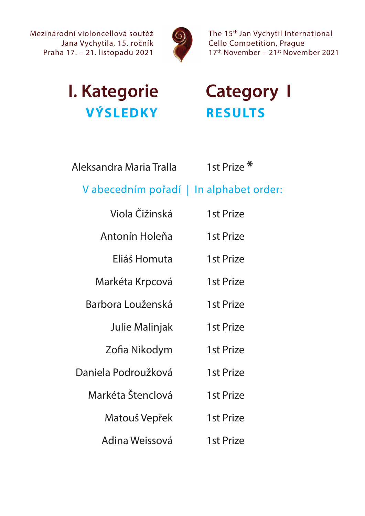

The 15th Jan Vychytil International Cello Competition, Prague 17th November – 21st November 2021

# **I. Kategorie Category I VÝSLEDKY RESULTS**

| Aleksandra Maria Tralla | 1st Prize <sup>*</sup> |
|-------------------------|------------------------|
|                         |                        |

## V abecedním pořadí | In alphabet order:

| Viola Čižinská        | 1st Prize |
|-----------------------|-----------|
| Antonín Holeňa        | 1st Prize |
| Eliáš Homuta          | 1st Prize |
| Markéta Krpcová       | 1st Prize |
| Barbora Louženská     | 1st Prize |
| <b>Julie Malinjak</b> | 1st Prize |
| Zofia Nikodym         | 1st Prize |
| Daniela Podroužková   | 1st Prize |
| Markéta Štenclová     | 1st Prize |
| Matouš Vepřek         | 1st Prize |
| Adina Weissová        | 1st Prize |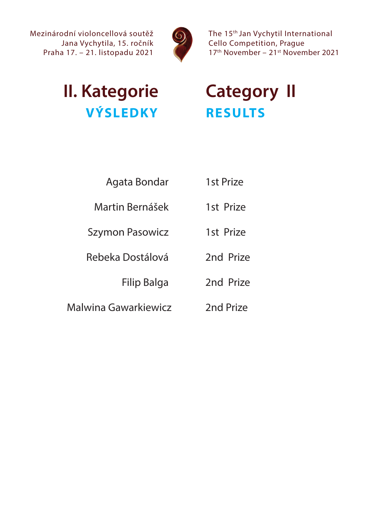

The 15<sup>th</sup> Jan Vychytil International Cello Competition, Prague 17<sup>th</sup> November - 21<sup>st</sup> November 2021

# **II. Kategorie Category II VÝSLEDKY RESULTS**

- Agata Bondar 1st Prize
- Martin Bernášek 1st Prize
- Szymon Pasowicz 1st Prize
- Rebeka Dostálová 2nd Prize
	- Filip Balga 2nd Prize
		-
- Malwina Gawarkiewicz 2nd Prize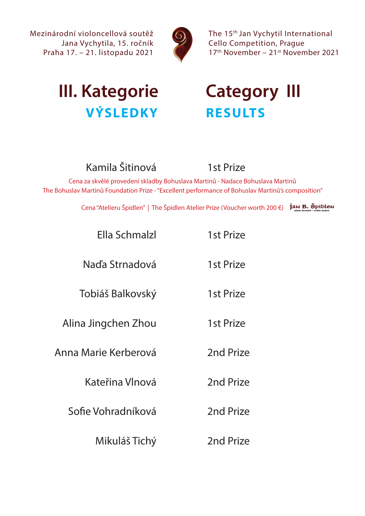

The 15th Jan Vychytil International Cello Competition, Prague 17th November – 21st November 2021

# **III. Kategorie Category III VÝSLEDKY RESULTS**

## Kamila Šitinová 1st Prize

Cena za skvělé provedení skladby Bohuslava Martinů - Nadace Bohuslava Martinů The Bohuslav Martinů Foundation Prize - "Excellent performance of Bohuslav Martinů's composition"

Cena "Atelieru Špidlen" | The Špidlen Atelier Prize (Voucher worth 200 €) *J*au B. Špibleu

| <b>Ella Schmalzl</b> | 1st Prize |
|----------------------|-----------|
| Naďa Strnadová       | 1st Prize |
| Tobiáš Balkovský     | 1st Prize |
| Alina Jingchen Zhou  | 1st Prize |
| Anna Marie Kerberová | 2nd Prize |
| Kateřina Vlnová      | 2nd Prize |
| Sofie Vohradníková   | 2nd Prize |
| Mikuláš Tichý        | 2nd Prize |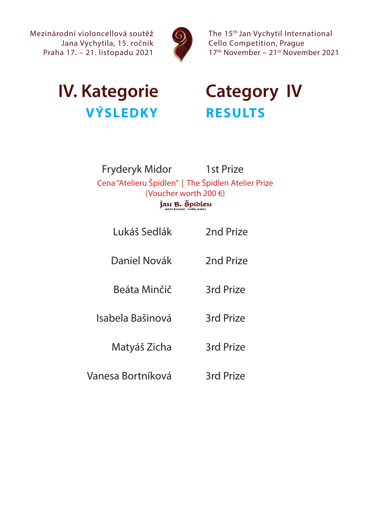

The 15<sup>th</sup> Jan Vychytil International Cello Competition, Prague 17<sup>th</sup> November - 21<sup>st</sup> November 2021

## **IV. Kategorie Category IV VÝSLEDKY RESULTS**

### Fryderyk Midor 1st Prize Cena "Atelieru Špidlen" | The Špidlen Atelier Prize (Voucher worth 200 €)Jan B. Špiblen

- Lukáš Sedlák 2nd Prize
- Daniel Novák 2nd Prize
- Beáta Minčič 3rd Prize
- Isabela Bašinová 3rd Prize

### Matyáš Zicha 3rd Prize

Vanesa Bortníková 3rd Prize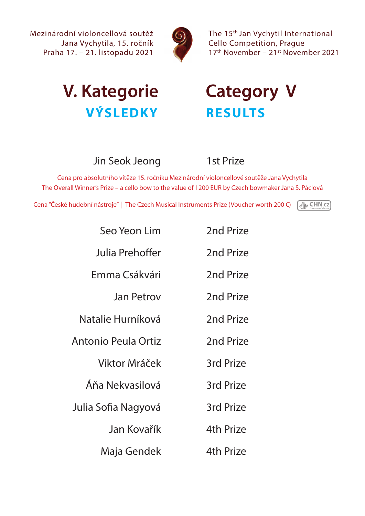

The 15<sup>th</sup> Jan Vychytil International Cello Competition, Prague 17<sup>th</sup> November - 21<sup>st</sup> November 2021

# **V. Kategorie Category V VÝSLEDKY RESULTS**

### Jin Seok Jeong 1st Prize

Cena pro absolutního vítěze 15. ročníku Mezinárodní violoncellové soutěže Jana Vychytila The Overall Winner's Prize – a cello bow to the value of 1200 EUR by Czech bowmaker Jana S. Páclová

Cena "České hudební nástroje" | The Czech Musical Instruments Prize (Voucher worth 200 €)

**My CHN.cz** 

| Seo Yeon Lim        | 2nd Prize        |
|---------------------|------------------|
| Julia Prehoffer     | 2nd Prize        |
| Emma Csákvári       | 2nd Prize        |
| Jan Petrov          | 2nd Prize        |
| Natalie Hurníková   | 2nd Prize        |
| Antonio Peula Ortiz | 2nd Prize        |
| Viktor Mráček       | 3rd Prize        |
| Áňa Nekvasilová     | <b>3rd Prize</b> |
| Julia Sofia Nagyová | 3rd Prize        |
| Jan Kovařík         | <b>4th Prize</b> |
| Maja Gendek         | 4th Prize        |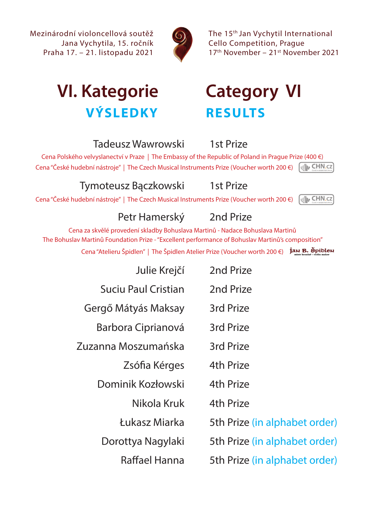

The 15th Jan Vychytil International Cello Competition, Prague 17<sup>th</sup> November - 21<sup>st</sup> November 2021

# **VI. Kategorie Category VI VÝSLEDKY RESULTS**

### Tadeusz Wawrowski 1st Prize

Cena Polského velvyslanectví v Praze | The Embassy of the Republic of Poland in Prague Prize (400 €) **MIN CHN.cz** Cena "České hudební nástroje" | The Czech Musical Instruments Prize (Voucher worth 200 €)

### Tymoteusz Bączkowski 1st Prize

**My CHN.cz** Cena "České hudební nástroje" | The Czech Musical Instruments Prize (Voucher worth 200 €)

### Petr Hamerský 2nd Prize

Cena za skvělé provedení skladby Bohuslava Martinů - Nadace Bohuslava Martinů The Bohuslav Martinů Foundation Prize - "Excellent performance of Bohuslav Martinů's composition"

Cena "Atelieru Špidlen" | The Špidlen Atelier Prize (Voucher worth 200 €) *inn B. Špiblen* 

| Julie Krejčí               | 2nd Prize                     |
|----------------------------|-------------------------------|
| <b>Suciu Paul Cristian</b> | 2nd Prize                     |
| Gergő Mátyás Maksay        | 3rd Prize                     |
| Barbora Ciprianová         | 3rd Prize                     |
| Zuzanna Moszumańska        | 3rd Prize                     |
| Zsófia Kérges              | 4th Prize                     |
| Dominik Kozłowski          | 4th Prize                     |
| Nikola Kruk                | 4th Prize                     |
| Łukasz Miarka              | 5th Prize (in alphabet order) |
| Dorottya Nagylaki          | 5th Prize (in alphabet order) |
| Raffael Hanna              | 5th Prize (in alphabet order) |